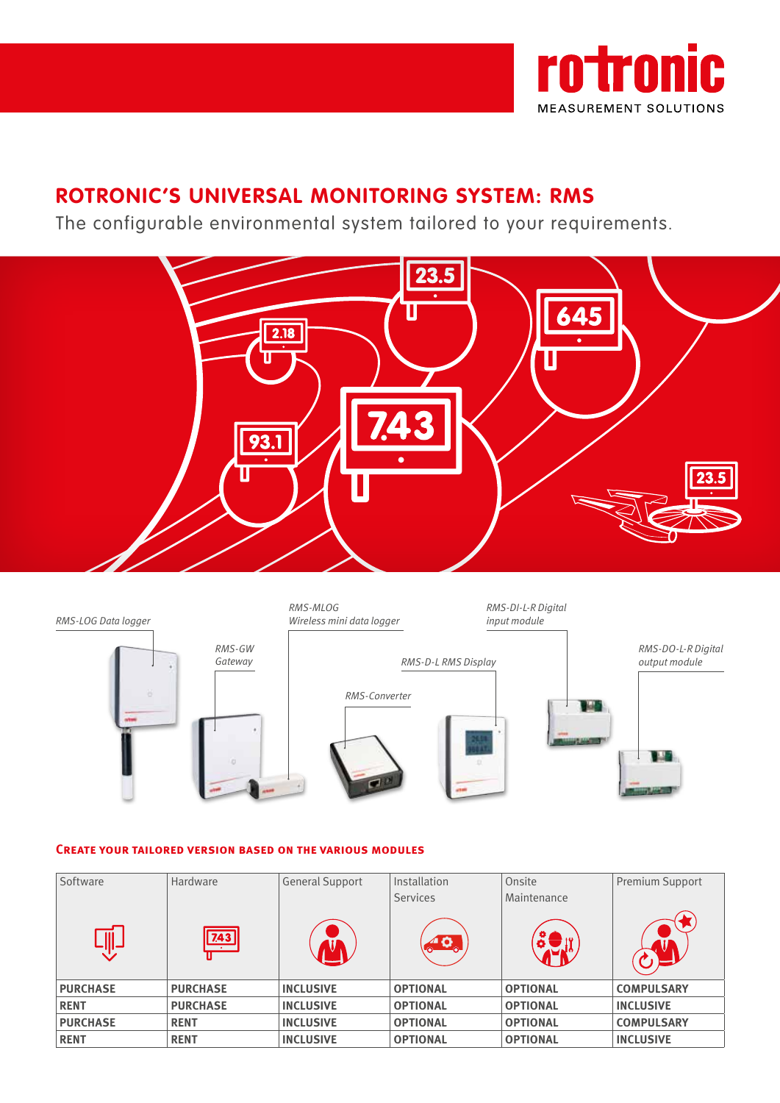

# **ROTRONIC'S UNIVERSAL MONITORING SYSTEM: RMS**

The configurable environmental system tailored to your requirements.





# **Create your tailored version based on the various modules**

| Software        | Hardware        | <b>General Support</b> | Installation    | Onsite          | Premium Support   |
|-----------------|-----------------|------------------------|-----------------|-----------------|-------------------|
|                 |                 |                        | <b>Services</b> | Maintenance     |                   |
|                 | 7.43            |                        | 40              |                 |                   |
| <b>PURCHASE</b> | <b>PURCHASE</b> | <b>INCLUSIVE</b>       | <b>OPTIONAL</b> | <b>OPTIONAL</b> | <b>COMPULSARY</b> |
| <b>RENT</b>     | <b>PURCHASE</b> | <b>INCLUSIVE</b>       | <b>OPTIONAL</b> | <b>OPTIONAL</b> | <b>INCLUSIVE</b>  |
| <b>PURCHASE</b> | <b>RENT</b>     | <b>INCLUSIVE</b>       | <b>OPTIONAL</b> | <b>OPTIONAL</b> | <b>COMPULSARY</b> |
| <b>RENT</b>     | <b>RENT</b>     | <b>INCLUSIVE</b>       | <b>OPTIONAL</b> | <b>OPTIONAL</b> | <b>INCLUSIVE</b>  |